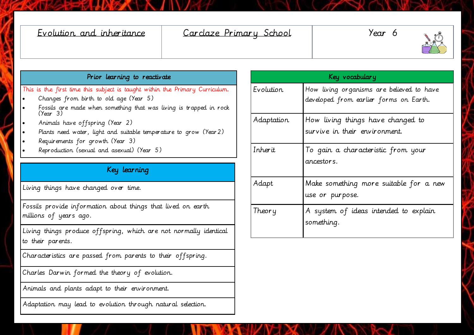| Evolution and inheritance                                                                                                                                                                                                                                                                                                                                                                                           | Cardaze Primary School |                | Year 6                                                                              |
|---------------------------------------------------------------------------------------------------------------------------------------------------------------------------------------------------------------------------------------------------------------------------------------------------------------------------------------------------------------------------------------------------------------------|------------------------|----------------|-------------------------------------------------------------------------------------|
| Prior learning to reactivate                                                                                                                                                                                                                                                                                                                                                                                        |                        | Key vocabulary |                                                                                     |
| This is the first time this subject is taught within the Primary Curriculum.<br>Changes from birth to old age (Year 5)<br>Fossils are made when something that was living is trapped in rock<br>(Year 3)<br>Animals have offspring (Year 2)<br>Plants need water, light and suitable temperature to grow (Year 2)<br>Requirements for growth (Year 3)<br>Reproduction (sexual and asexual) (Year 5)<br>Key learning |                        | Evolution      | How living organisms are believed to have<br>developed from earlier forms on Earth. |
|                                                                                                                                                                                                                                                                                                                                                                                                                     |                        | Adaptation     | How living things have changed to<br>survive in their environment.                  |
|                                                                                                                                                                                                                                                                                                                                                                                                                     |                        | Inherit        | To gain a characteristic from your<br>ancestors.                                    |
| Living things have changed over time.                                                                                                                                                                                                                                                                                                                                                                               |                        | Adapt          | Make something more suitable for a new<br>use or purpose.                           |
| Fossils provide information about things that lived on earth<br>millions of years ago.                                                                                                                                                                                                                                                                                                                              |                        | Theory         | A system of ideas intended to explain<br>something.                                 |
| Living things produce offspring, which are not normally identical<br>to their parents.                                                                                                                                                                                                                                                                                                                              |                        |                |                                                                                     |
| Characteristics are passed from parents to their offspring.                                                                                                                                                                                                                                                                                                                                                         |                        |                |                                                                                     |
| Charles Darwin formed the theory of evolution.                                                                                                                                                                                                                                                                                                                                                                      |                        |                |                                                                                     |
| Animals and plants adapt to their environment.                                                                                                                                                                                                                                                                                                                                                                      |                        |                |                                                                                     |

Adaptation may lead to evolution through natural selection.

Ď

**CONTROL**